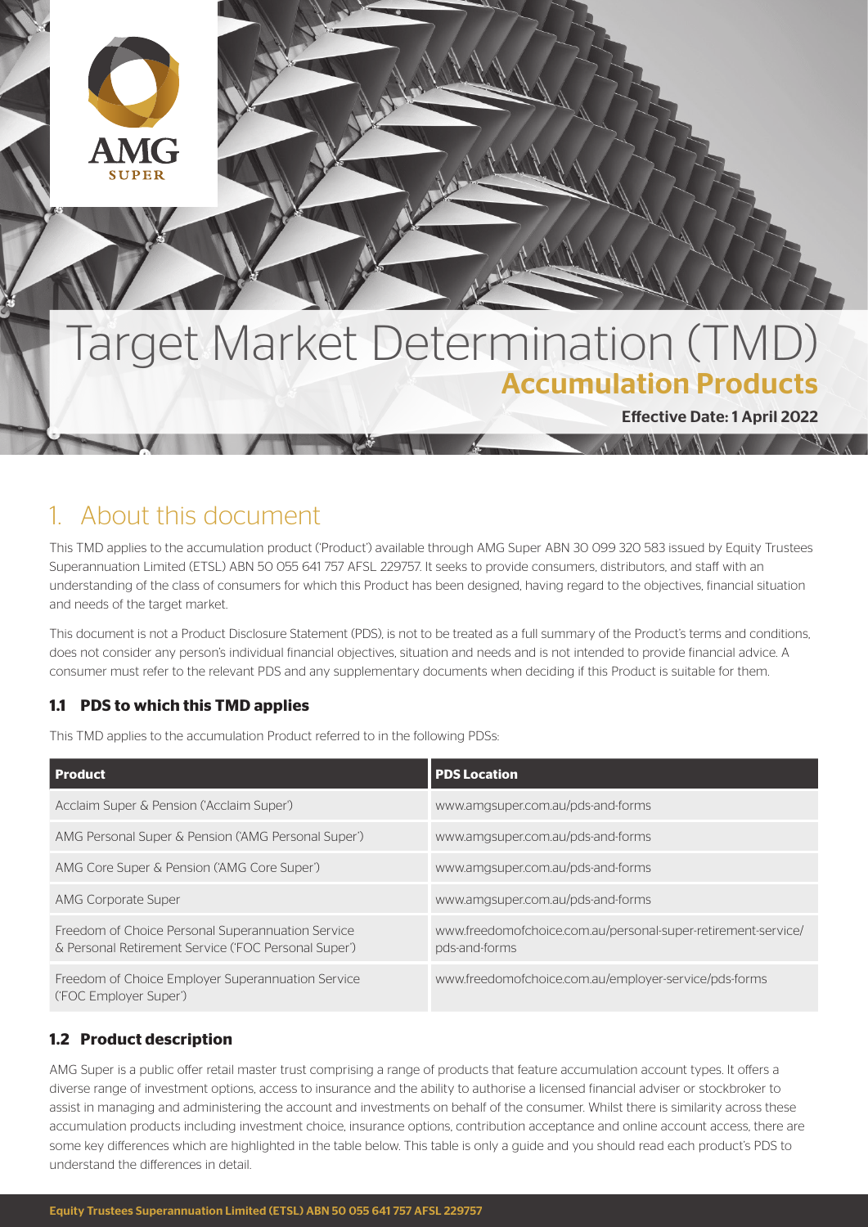

# Target Market Determination (TMD) Accumulation Products

Effective Date: 1 April 2022

 $\Lambda$ 

# 1. About this document

This TMD applies to the accumulation product ('Product') available through AMG Super ABN 30 099 320 583 issued by Equity Trustees Superannuation Limited (ETSL) ABN 50 055 641 757 AFSL 229757. It seeks to provide consumers, distributors, and staff with an understanding of the class of consumers for which this Product has been designed, having regard to the objectives, financial situation and needs of the target market.

This document is not a Product Disclosure Statement (PDS), is not to be treated as a full summary of the Product's terms and conditions, does not consider any person's individual financial objectives, situation and needs and is not intended to provide financial advice. A consumer must refer to the relevant PDS and any supplementary documents when deciding if this Product is suitable for them.

# **1.1 PDS to which this TMD applies**

This TMD applies to the accumulation Product referred to in the following PDSs:

| Product                                                                                                   | <b>PDS Location</b>                                                            |
|-----------------------------------------------------------------------------------------------------------|--------------------------------------------------------------------------------|
| Acclaim Super & Pension ('Acclaim Super')                                                                 | www.amgsuper.com.au/pds-and-forms                                              |
| AMG Personal Super & Pension ('AMG Personal Super')                                                       | www.amgsuper.com.au/pds-and-forms                                              |
| AMG Core Super & Pension ('AMG Core Super')                                                               | www.amgsuper.com.au/pds-and-forms                                              |
| AMG Corporate Super                                                                                       | www.amgsuper.com.au/pds-and-forms                                              |
| Freedom of Choice Personal Superannuation Service<br>& Personal Retirement Service ('FOC Personal Super') | www.freedomofchoice.com.au/personal-super-retirement-service/<br>pds-and-forms |
| Freedom of Choice Employer Superannuation Service<br>('FOC Employer Super')                               | www.freedomofchoice.com.au/employer-service/pds-forms                          |

# **1.2 Product description**

AMG Super is a public offer retail master trust comprising a range of products that feature accumulation account types. It offers a diverse range of investment options, access to insurance and the ability to authorise a licensed financial adviser or stockbroker to assist in managing and administering the account and investments on behalf of the consumer. Whilst there is similarity across these accumulation products including investment choice, insurance options, contribution acceptance and online account access, there are some key differences which are highlighted in the table below. This table is only a guide and you should read each product's PDS to understand the differences in detail.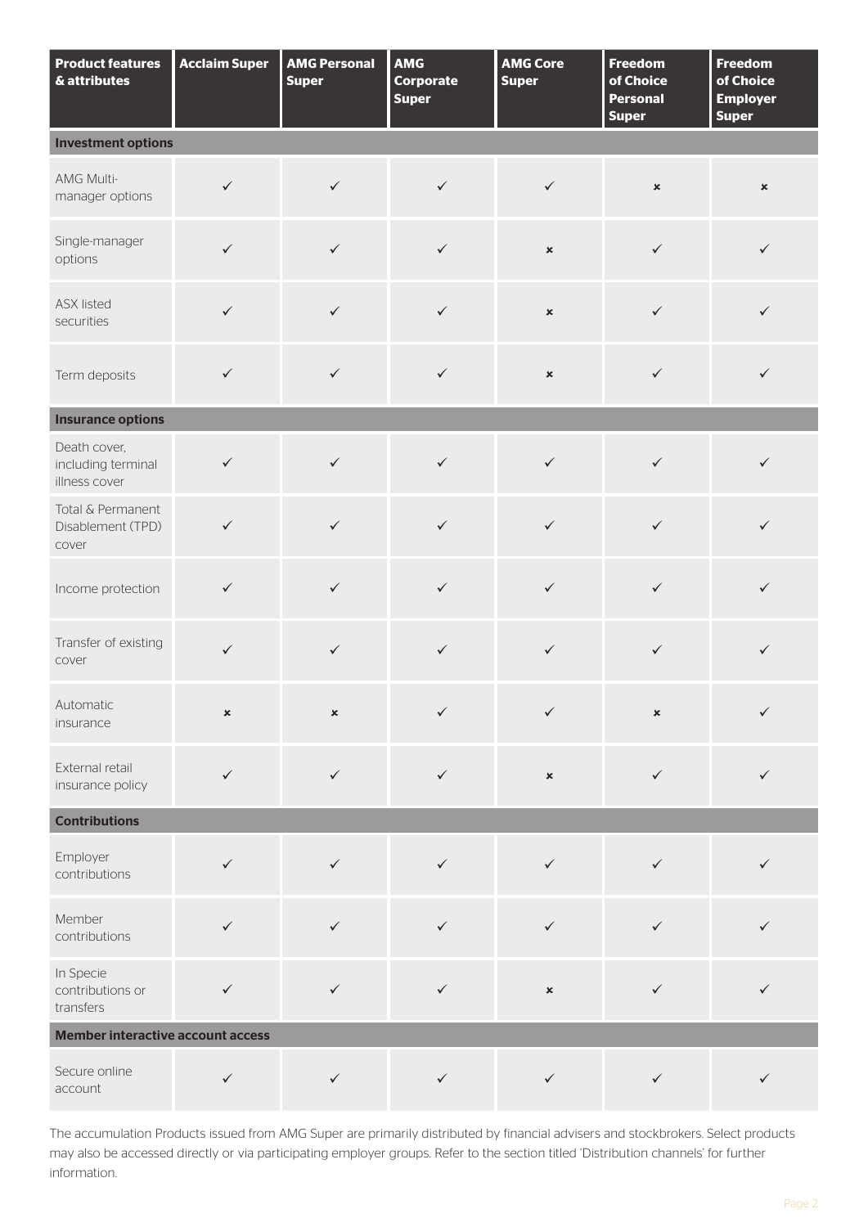| <b>Product features</b><br>& attributes             | <b>Acclaim Super</b> | <b>AMG Personal</b><br><b>Super</b> | AMG<br><b>Corporate</b><br><b>Super</b> | <b>AMG Core</b><br><b>Super</b> | <b>Freedom</b><br>of Choice<br><b>Personal</b><br><b>Super</b> | <b>Freedom</b><br>of Choice<br><b>Employer</b><br><b>Super</b> |
|-----------------------------------------------------|----------------------|-------------------------------------|-----------------------------------------|---------------------------------|----------------------------------------------------------------|----------------------------------------------------------------|
| <b>Investment options</b>                           |                      |                                     |                                         |                                 |                                                                |                                                                |
| AMG Multi-<br>manager options                       | $\checkmark$         | $\checkmark$                        | $\checkmark$                            | $\checkmark$                    | $\pmb{\times}$                                                 | $\pmb{\times}$                                                 |
| Single-manager<br>options                           | $\checkmark$         | $\checkmark$                        | $\checkmark$                            | $\pmb{\times}$                  | $\checkmark$                                                   | $\checkmark$                                                   |
| <b>ASX listed</b><br>securities                     | $\checkmark$         | $\checkmark$                        | $\checkmark$                            | $\pmb{\times}$                  | $\checkmark$                                                   | $\checkmark$                                                   |
| Term deposits                                       | $\checkmark$         | $\checkmark$                        | $\checkmark$                            | $\pmb{\times}$                  | $\checkmark$                                                   | $\checkmark$                                                   |
| <b>Insurance options</b>                            |                      |                                     |                                         |                                 |                                                                |                                                                |
| Death cover,<br>including terminal<br>illness cover | $\checkmark$         | $\checkmark$                        | $\checkmark$                            | $\checkmark$                    | $\checkmark$                                                   | $\checkmark$                                                   |
| Total & Permanent<br>Disablement (TPD)<br>cover     | $\checkmark$         | $\checkmark$                        | $\checkmark$                            | $\checkmark$                    | $\checkmark$                                                   | $\checkmark$                                                   |
| Income protection                                   | $\checkmark$         | $\checkmark$                        | $\checkmark$                            | $\checkmark$                    | $\checkmark$                                                   | $\checkmark$                                                   |
| Transfer of existing<br>cover                       | $\checkmark$         | $\checkmark$                        | $\checkmark$                            | $\checkmark$                    | $\checkmark$                                                   | $\checkmark$                                                   |
| Automatic<br>insurance                              | $\pmb{\times}$       | $\pmb{\times}$                      | ✓                                       | $\checkmark$                    | $\pmb{\times}$                                                 | $\checkmark$                                                   |
| External retail<br>insurance policy                 | $\checkmark$         | $\checkmark$                        | $\checkmark$                            | $\pmb{\times}$                  | $\checkmark$                                                   | $\checkmark$                                                   |
| <b>Contributions</b>                                |                      |                                     |                                         |                                 |                                                                |                                                                |
| Employer<br>contributions                           | $\checkmark$         | $\checkmark$                        | $\checkmark$                            | $\checkmark$                    | $\checkmark$                                                   | $\checkmark$                                                   |
| Member<br>contributions                             | $\checkmark$         | $\checkmark$                        | $\checkmark$                            | $\checkmark$                    | $\checkmark$                                                   | ✓                                                              |
| In Specie<br>contributions or<br>transfers          | $\checkmark$         | $\checkmark$                        | $\checkmark$                            | $\pmb{\times}$                  | $\checkmark$                                                   | $\checkmark$                                                   |
| <b>Member interactive account access</b>            |                      |                                     |                                         |                                 |                                                                |                                                                |
| Secure online<br>account                            | $\checkmark$         | $\checkmark$                        | $\checkmark$                            | $\checkmark$                    | $\checkmark$                                                   | $\checkmark$                                                   |

The accumulation Products issued from AMG Super are primarily distributed by financial advisers and stockbrokers. Select products may also be accessed directly or via participating employer groups. Refer to the section titled 'Distribution channels' for further information.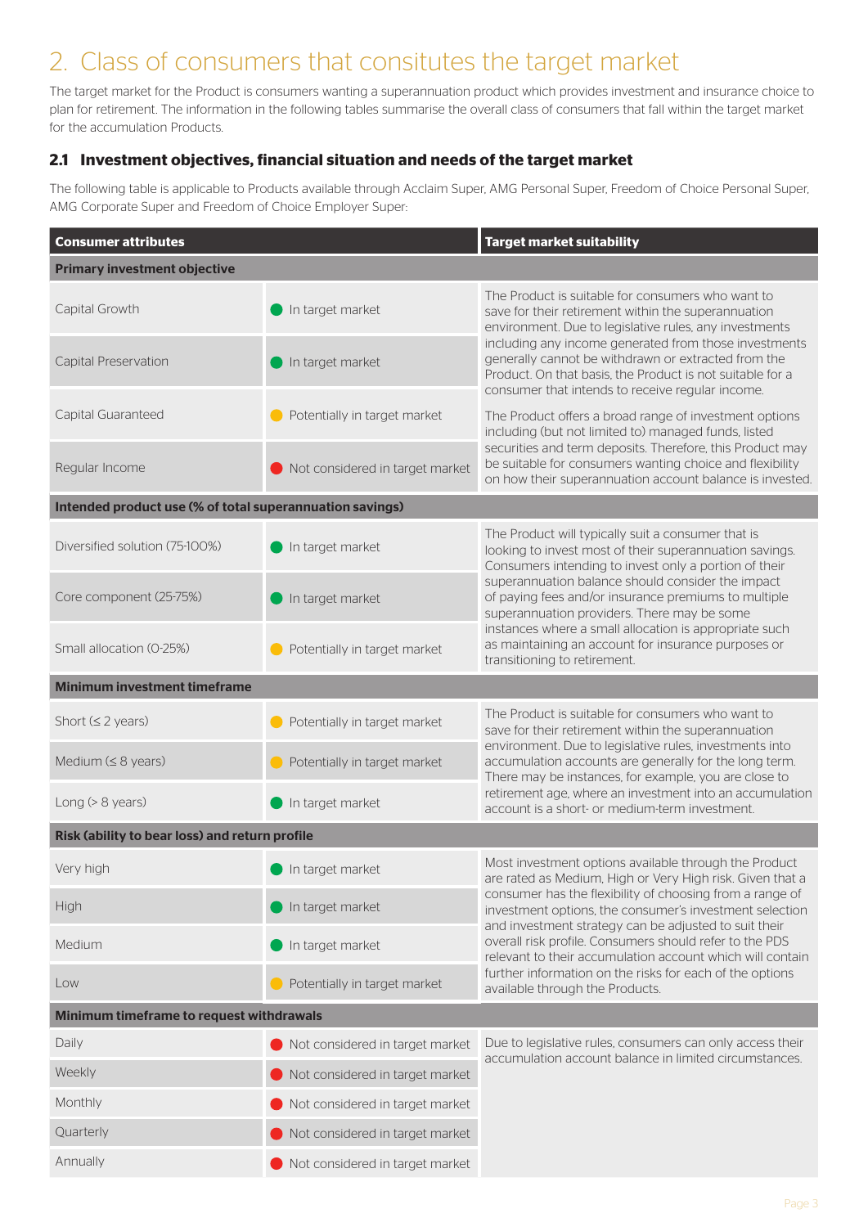# 2. Class of consumers that consitutes the target market

The target market for the Product is consumers wanting a superannuation product which provides investment and insurance choice to plan for retirement. The information in the following tables summarise the overall class of consumers that fall within the target market for the accumulation Products.

# **2.1 Investment objectives, financial situation and needs of the target market**

The following table is applicable to Products available through Acclaim Super, AMG Personal Super, Freedom of Choice Personal Super, AMG Corporate Super and Freedom of Choice Employer Super:

| <b>Consumer attributes</b>                               |                                 | <b>Target market suitability</b>                                                                                                                                                                                              |  |  |  |
|----------------------------------------------------------|---------------------------------|-------------------------------------------------------------------------------------------------------------------------------------------------------------------------------------------------------------------------------|--|--|--|
| <b>Primary investment objective</b>                      |                                 |                                                                                                                                                                                                                               |  |  |  |
| Capital Growth                                           | In target market                | The Product is suitable for consumers who want to<br>save for their retirement within the superannuation<br>environment. Due to legislative rules, any investments                                                            |  |  |  |
| Capital Preservation                                     | In target market                | including any income generated from those investments<br>generally cannot be withdrawn or extracted from the<br>Product. On that basis, the Product is not suitable for a<br>consumer that intends to receive regular income. |  |  |  |
| Capital Guaranteed                                       | Potentially in target market    | The Product offers a broad range of investment options<br>including (but not limited to) managed funds, listed                                                                                                                |  |  |  |
| Regular Income                                           | Not considered in target market | securities and term deposits. Therefore, this Product may<br>be suitable for consumers wanting choice and flexibility<br>on how their superannuation account balance is invested.                                             |  |  |  |
| Intended product use (% of total superannuation savings) |                                 |                                                                                                                                                                                                                               |  |  |  |
| Diversified solution (75-100%)                           | In target market                | The Product will typically suit a consumer that is<br>looking to invest most of their superannuation savings.<br>Consumers intending to invest only a portion of their                                                        |  |  |  |
| Core component (25-75%)                                  | In target market                | superannuation balance should consider the impact<br>of paying fees and/or insurance premiums to multiple<br>superannuation providers. There may be some                                                                      |  |  |  |
| Small allocation (0-25%)                                 | Potentially in target market    | instances where a small allocation is appropriate such<br>as maintaining an account for insurance purposes or<br>transitioning to retirement.                                                                                 |  |  |  |
| <b>Minimum investment timeframe</b>                      |                                 |                                                                                                                                                                                                                               |  |  |  |
| Short $(\leq 2 years)$                                   | Potentially in target market    | The Product is suitable for consumers who want to<br>save for their retirement within the superannuation<br>environment. Due to legislative rules, investments into                                                           |  |  |  |
| Medium $(≤ 8$ years)                                     | Potentially in target market    | accumulation accounts are generally for the long term.<br>There may be instances, for example, you are close to                                                                                                               |  |  |  |
| Long $(> 8$ years)                                       | In target market                | retirement age, where an investment into an accumulation<br>account is a short- or medium-term investment.                                                                                                                    |  |  |  |
| Risk (ability to bear loss) and return profile           |                                 |                                                                                                                                                                                                                               |  |  |  |
| Very high                                                | In target market                | Most investment options available through the Product<br>are rated as Medium, High or Very High risk. Given that a                                                                                                            |  |  |  |
| High                                                     | In target market                | consumer has the flexibility of choosing from a range of<br>investment options, the consumer's investment selection<br>and investment strategy can be adjusted to suit their                                                  |  |  |  |
| Medium                                                   | In target market                | overall risk profile. Consumers should refer to the PDS<br>relevant to their accumulation account which will contain                                                                                                          |  |  |  |
| Low                                                      | Potentially in target market    | further information on the risks for each of the options<br>available through the Products.                                                                                                                                   |  |  |  |
| Minimum timeframe to request withdrawals                 |                                 |                                                                                                                                                                                                                               |  |  |  |
| Daily                                                    | Not considered in target market | Due to legislative rules, consumers can only access their<br>accumulation account balance in limited circumstances.                                                                                                           |  |  |  |
| Weekly                                                   | Not considered in target market |                                                                                                                                                                                                                               |  |  |  |
| Monthly                                                  | Not considered in target market |                                                                                                                                                                                                                               |  |  |  |
| Quarterly                                                | Not considered in target market |                                                                                                                                                                                                                               |  |  |  |
| Annually                                                 | Not considered in target market |                                                                                                                                                                                                                               |  |  |  |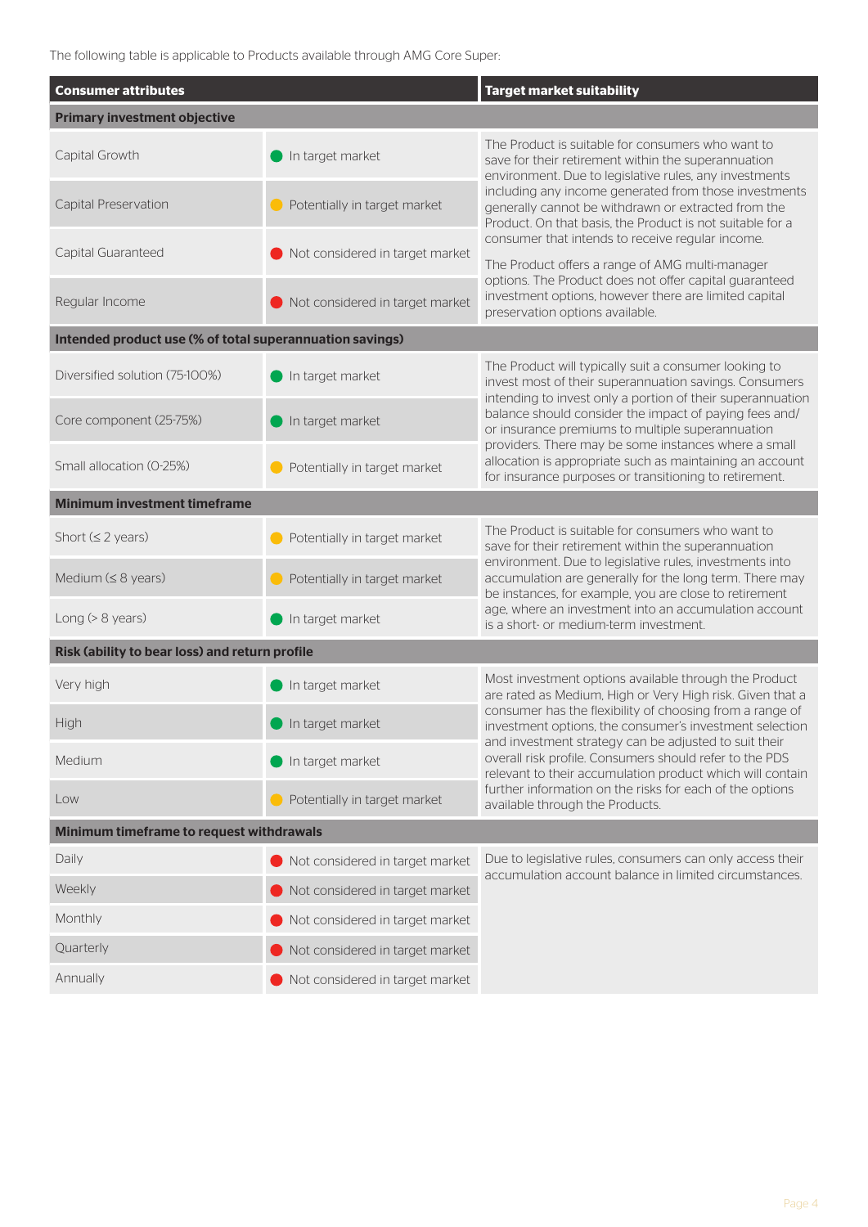The following table is applicable to Products available through AMG Core Super:

| <b>Consumer attributes</b>                               |                                 | <b>Target market suitability</b>                                                                                                                                              |  |  |  |
|----------------------------------------------------------|---------------------------------|-------------------------------------------------------------------------------------------------------------------------------------------------------------------------------|--|--|--|
| <b>Primary investment objective</b>                      |                                 |                                                                                                                                                                               |  |  |  |
| Capital Growth                                           | In target market                | The Product is suitable for consumers who want to<br>save for their retirement within the superannuation<br>environment. Due to legislative rules, any investments            |  |  |  |
| Capital Preservation                                     | Potentially in target market    | including any income generated from those investments<br>generally cannot be withdrawn or extracted from the<br>Product. On that basis, the Product is not suitable for a     |  |  |  |
| Capital Guaranteed                                       | Not considered in target market | consumer that intends to receive regular income.<br>The Product offers a range of AMG multi-manager                                                                           |  |  |  |
| Regular Income                                           | Not considered in target market | options. The Product does not offer capital guaranteed<br>investment options, however there are limited capital<br>preservation options available.                            |  |  |  |
| Intended product use (% of total superannuation savings) |                                 |                                                                                                                                                                               |  |  |  |
| Diversified solution (75-100%)                           | In target market                | The Product will typically suit a consumer looking to<br>invest most of their superannuation savings. Consumers<br>intending to invest only a portion of their superannuation |  |  |  |
| Core component (25-75%)                                  | In target market                | balance should consider the impact of paying fees and/<br>or insurance premiums to multiple superannuation<br>providers. There may be some instances where a small            |  |  |  |
| Small allocation (0-25%)                                 | Potentially in target market    | allocation is appropriate such as maintaining an account<br>for insurance purposes or transitioning to retirement.                                                            |  |  |  |
| <b>Minimum investment timeframe</b>                      |                                 |                                                                                                                                                                               |  |  |  |
| Short $(\leq 2 \text{ years})$                           | Potentially in target market    | The Product is suitable for consumers who want to<br>save for their retirement within the superannuation                                                                      |  |  |  |
| Medium $(≤ 8$ years)                                     | Potentially in target market    | environment. Due to legislative rules, investments into<br>accumulation are generally for the long term. There may<br>be instances, for example, you are close to retirement  |  |  |  |
| Long $(> 8$ years)                                       | In target market                | age, where an investment into an accumulation account<br>is a short- or medium-term investment.                                                                               |  |  |  |
| Risk (ability to bear loss) and return profile           |                                 |                                                                                                                                                                               |  |  |  |
| Very high                                                | In target market                | Most investment options available through the Product<br>are rated as Medium, High or Very High risk. Given that a                                                            |  |  |  |
| <b>High</b>                                              | In target market                | consumer has the flexibility of choosing from a range of<br>investment options, the consumer's investment selection<br>and investment strategy can be adjusted to suit their  |  |  |  |
| Medium                                                   | In target market                | overall risk profile. Consumers should refer to the PDS<br>relevant to their accumulation product which will contain                                                          |  |  |  |
| Low                                                      | Potentially in target market    | further information on the risks for each of the options<br>available through the Products.                                                                                   |  |  |  |
| Minimum timeframe to request withdrawals                 |                                 |                                                                                                                                                                               |  |  |  |
| Daily                                                    | Not considered in target market | Due to legislative rules, consumers can only access their<br>accumulation account balance in limited circumstances.                                                           |  |  |  |
| Weekly                                                   | Not considered in target market |                                                                                                                                                                               |  |  |  |
| Monthly                                                  | Not considered in target market |                                                                                                                                                                               |  |  |  |
| Quarterly                                                | Not considered in target market |                                                                                                                                                                               |  |  |  |
| Annually                                                 | Not considered in target market |                                                                                                                                                                               |  |  |  |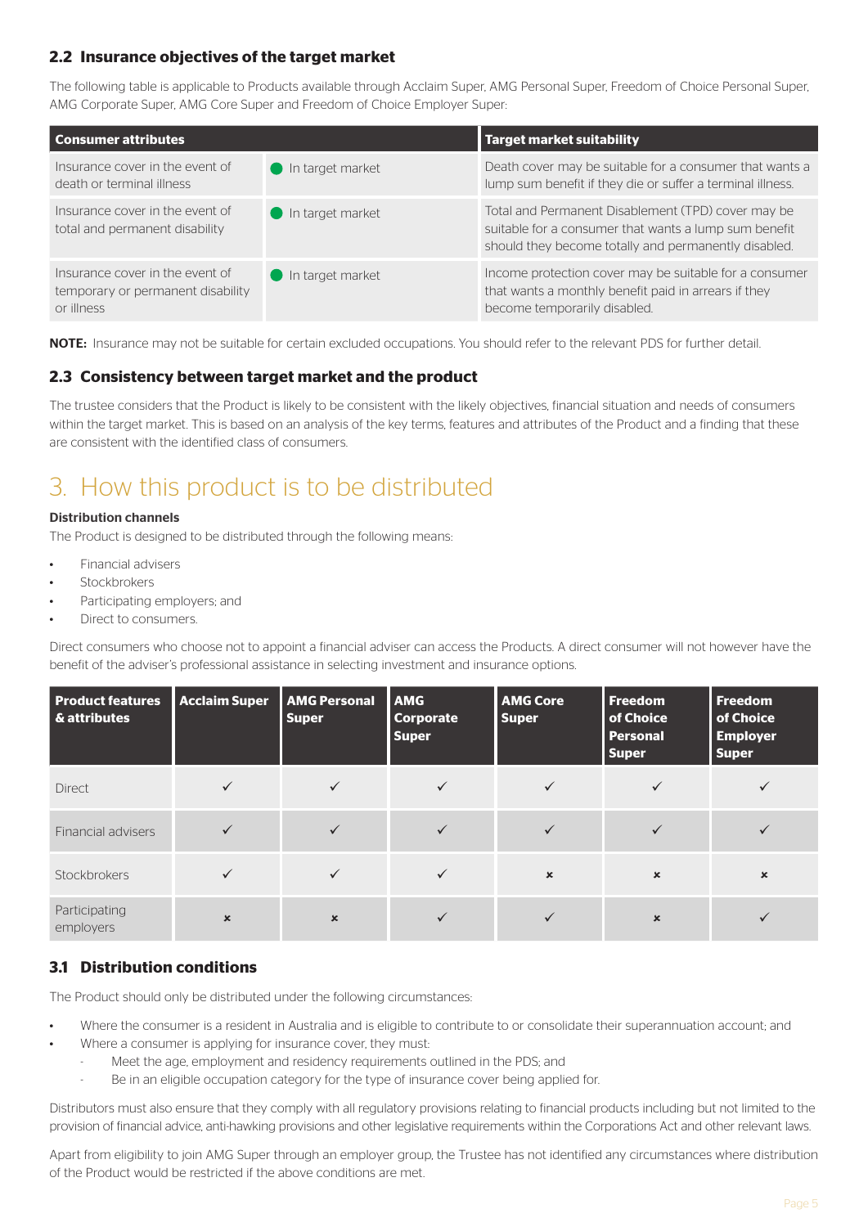## **2.2 Insurance objectives of the target market**

The following table is applicable to Products available through Acclaim Super, AMG Personal Super, Freedom of Choice Personal Super, AMG Corporate Super, AMG Core Super and Freedom of Choice Employer Super:

| <b>Consumer attributes</b>                                                         |                                 | Target market suitability                                                                                                                                           |  |  |
|------------------------------------------------------------------------------------|---------------------------------|---------------------------------------------------------------------------------------------------------------------------------------------------------------------|--|--|
| Insurance cover in the event of<br>death or terminal illness                       | In target market                | Death cover may be suitable for a consumer that wants a<br>lump sum benefit if they die or suffer a terminal illness.                                               |  |  |
| Insurance cover in the event of<br>total and permanent disability                  | $\blacksquare$ In target market | Total and Permanent Disablement (TPD) cover may be<br>suitable for a consumer that wants a lump sum benefit<br>should they become totally and permanently disabled. |  |  |
| Insurance cover in the event of<br>temporary or permanent disability<br>or illness | $\blacksquare$ In target market | Income protection cover may be suitable for a consumer<br>that wants a monthly benefit paid in arrears if they<br>become temporarily disabled.                      |  |  |

NOTE: Insurance may not be suitable for certain excluded occupations. You should refer to the relevant PDS for further detail.

### **2.3 Consistency between target market and the product**

The trustee considers that the Product is likely to be consistent with the likely objectives, financial situation and needs of consumers within the target market. This is based on an analysis of the key terms, features and attributes of the Product and a finding that these are consistent with the identified class of consumers.

# 3. How this product is to be distributed

#### Distribution channels

The Product is designed to be distributed through the following means:

- Financial advisers
- Stockbrokers
- Participating employers; and
- Direct to consumers.

Direct consumers who choose not to appoint a financial adviser can access the Products. A direct consumer will not however have the benefit of the adviser's professional assistance in selecting investment and insurance options.

| <b>Product features</b><br>& attributes | <b>Acclaim Super</b> | <b>AMG Personal</b><br><b>Super</b> | <b>AMG</b><br><b>Corporate</b><br><b>Super</b> | <b>AMG Core</b><br><b>Super</b> | <b>Freedom</b><br>of Choice<br><b>Personal</b><br><b>Super</b> | Freedom<br>of Choice<br><b>Employer</b><br><b>Super</b> |
|-----------------------------------------|----------------------|-------------------------------------|------------------------------------------------|---------------------------------|----------------------------------------------------------------|---------------------------------------------------------|
| <b>Direct</b>                           |                      |                                     |                                                | ✓                               |                                                                |                                                         |
| Financial advisers                      |                      |                                     |                                                | ✓                               |                                                                |                                                         |
| Stockbrokers                            | ✓                    | $\checkmark$                        |                                                | $\boldsymbol{\mathsf{x}}$       | $\mathbf x$                                                    | $\boldsymbol{\mathsf{x}}$                               |
| Participating<br>employers              | $\mathbf x$          | $\mathbf x$                         |                                                |                                 | $\mathbf x$                                                    |                                                         |

# **3.1 Distribution conditions**

The Product should only be distributed under the following circumstances:

- Where the consumer is a resident in Australia and is eligible to contribute to or consolidate their superannuation account; and
	- Where a consumer is applying for insurance cover, they must:
		- Meet the age, employment and residency requirements outlined in the PDS; and
		- Be in an eligible occupation category for the type of insurance cover being applied for.

Distributors must also ensure that they comply with all regulatory provisions relating to financial products including but not limited to the provision of financial advice, anti-hawking provisions and other legislative requirements within the Corporations Act and other relevant laws.

Apart from eligibility to join AMG Super through an employer group, the Trustee has not identified any circumstances where distribution of the Product would be restricted if the above conditions are met.